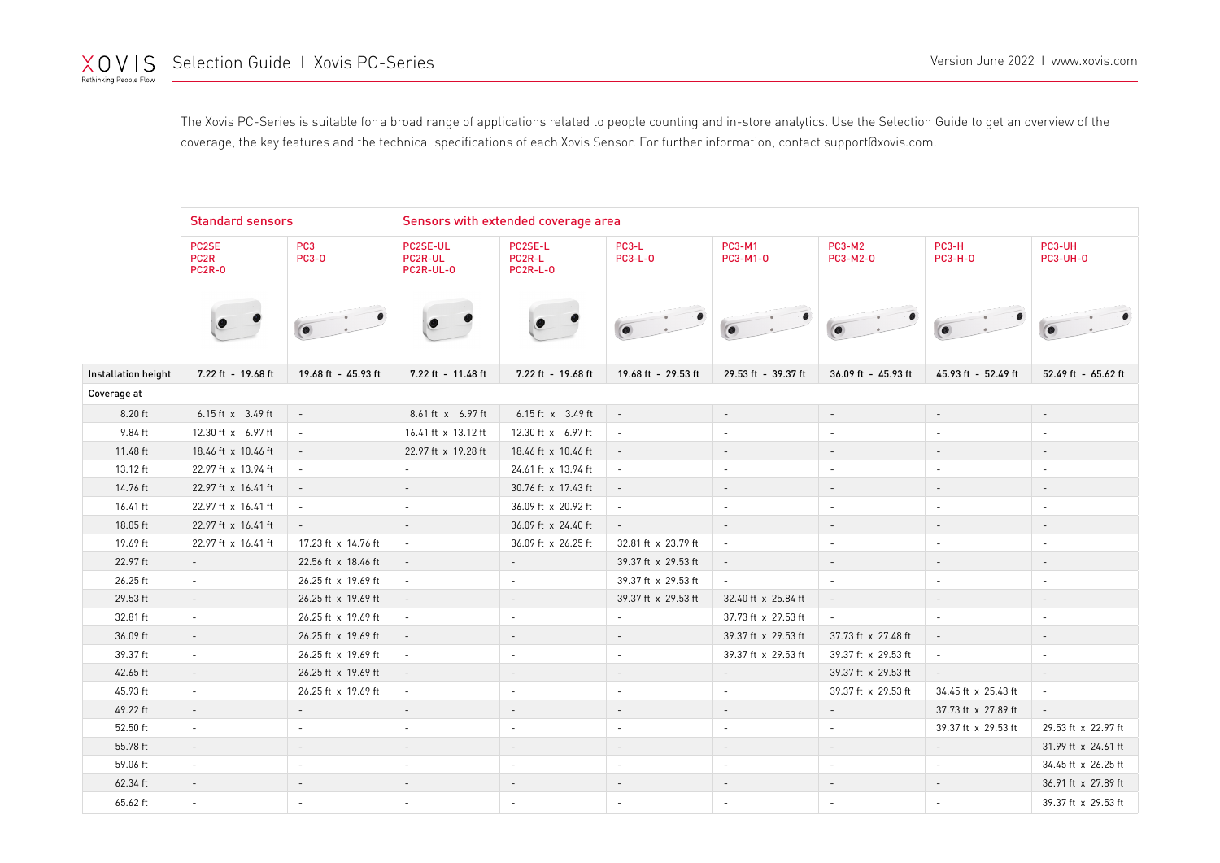The Xovis PC-Series is suitable for a broad range of applications related to people counting and in-store analytics. Use the Selection Guide to get an overview of the coverage, the key features and the technical specifications of each Xovis Sensor. For further information, contact support@xovis.com.

|                     | <b>Standard sensors</b>                    |                                 | Sensors with extended coverage area |                                      |                          |                           |                           |                          |                           |  |  |  |
|---------------------|--------------------------------------------|---------------------------------|-------------------------------------|--------------------------------------|--------------------------|---------------------------|---------------------------|--------------------------|---------------------------|--|--|--|
|                     | PC2SE<br>PC <sub>2R</sub><br><b>PC2R-0</b> | PC <sub>3</sub><br><b>PC3-0</b> | PC2SE-UL<br>PC2R-UL<br>PC2R-UL-0    | PC2SE-L<br>PC2R-L<br><b>PC2R-L-0</b> | PC3-L<br><b>PC3-L-0</b>  | <b>PC3-M1</b><br>PC3-M1-0 | <b>PC3-M2</b><br>PC3-M2-0 | PC3-H<br><b>PC3-H-0</b>  | PC3-UH<br><b>PC3-UH-0</b> |  |  |  |
|                     |                                            |                                 | $\bullet$                           |                                      |                          |                           |                           |                          |                           |  |  |  |
| Installation height | 7.22 ft - 19.68 ft                         | 19.68 ft - 45.93 ft             | 7.22 ft - 11.48 ft                  | 7.22 ft - 19.68 ft                   | 19.68 ft - 29.53 ft      | 29.53 ft - 39.37 ft       | 36.09 ft - 45.93 ft       | 45.93 ft - 52.49 ft      | 52.49 ft - 65.62 ft       |  |  |  |
| Coverage at         |                                            |                                 |                                     |                                      |                          |                           |                           |                          |                           |  |  |  |
| 8.20 ft             | 6.15 ft x 3.49 ft                          | $\overline{\phantom{a}}$        | 8.61 ft x 6.97 ft                   | 6.15 ft x 3.49 ft                    | $\sim$                   | $\bar{a}$                 | $\overline{\phantom{a}}$  | $\overline{\phantom{a}}$ | $\overline{\phantom{a}}$  |  |  |  |
| 9.84 ft             | 12.30 ft x 6.97 ft                         | $\overline{\phantom{a}}$        | 16.41 ft x 13.12 ft                 | 12.30 ft x 6.97 ft                   | $\sim$                   | $\sim$                    |                           | $\sim$                   |                           |  |  |  |
| 11.48 ft            | 18.46 ft x 10.46 ft                        | $\sim$                          | 22.97 ft x 19.28 ft                 | 18.46 ft x 10.46 ft                  | $\sim$                   | $\overline{\phantom{a}}$  | $\overline{\phantom{a}}$  | $\sim$                   | $\overline{\phantom{a}}$  |  |  |  |
| 13.12 ft            | 22.97 ft x 13.94 ft                        | $\overline{\phantom{a}}$        | $\overline{\phantom{a}}$            | 24.61 ft x 13.94 ft                  | $\sim$                   | $\overline{\phantom{a}}$  | $\overline{\phantom{m}}$  | $\sim$                   | $\overline{\phantom{a}}$  |  |  |  |
| 14.76 ft            | 22.97 ft x 16.41 ft                        | $\overline{\phantom{a}}$        | $\sim$                              | 30.76 ft x 17.43 ft                  | $\sim$                   | $\overline{\phantom{a}}$  | $\overline{\phantom{a}}$  | $\overline{\phantom{a}}$ | $\overline{\phantom{a}}$  |  |  |  |
| 16.41 ft            | 22.97 ft x 16.41 ft                        | $\sim$                          | $\sim$                              | 36.09 ft x 20.92 ft                  | $\overline{\phantom{a}}$ | $\overline{\phantom{a}}$  | $\overline{\phantom{a}}$  | $\overline{\phantom{a}}$ | $\overline{\phantom{a}}$  |  |  |  |
| 18.05 ft            | 22.97 ft x 16.41 ft                        | $\sim$                          | $\sim$                              | 36.09 ft x 24.40 ft                  | $\sim$                   | $\sim$                    | $\overline{\phantom{a}}$  | $\sim$                   | $\sim$                    |  |  |  |
| 19.69 ft            | 22.97 ft x 16.41 ft                        | 17.23 ft x 14.76 ft             | $\sim$                              | 36.09 ft x 26.25 ft                  | 32.81 ft x 23.79 ft      | $\overline{\phantom{a}}$  | $\overline{\phantom{a}}$  | $\overline{\phantom{a}}$ | $\overline{\phantom{a}}$  |  |  |  |
| 22.97 ft            | $\sim$                                     | 22.56 ft x 18.46 ft             | $\sim$                              | $\sim$                               | 39.37 ft x 29.53 ft      | $\overline{\phantom{a}}$  | $\overline{\phantom{a}}$  | $\overline{\phantom{a}}$ | $\sim$                    |  |  |  |
| 26.25 ft            | $\sim$                                     | 26.25 ft x 19.69 ft             | $\sim$                              | $\sim$                               | 39.37 ft x 29.53 ft      | $\overline{\phantom{a}}$  | ä,                        | $\overline{\phantom{a}}$ | $\overline{\phantom{a}}$  |  |  |  |
| 29.53 ft            | $\sim$                                     | 26.25 ft x 19.69 ft             | $\sim$                              | $\overline{\phantom{a}}$             | 39.37 ft x 29.53 ft      | 32.40 ft x 25.84 ft       | $\overline{\phantom{a}}$  | $\overline{\phantom{a}}$ | $\overline{\phantom{a}}$  |  |  |  |
| 32.81 ft            | $\overline{\phantom{a}}$                   | 26.25 ft x 19.69 ft             | $\sim$                              | $\overline{\phantom{a}}$             | $\sim$                   | 37.73 ft x 29.53 ft       | $\sim$                    | $\overline{\phantom{a}}$ | $\sim$                    |  |  |  |
| 36.09 ft            | $\overline{\phantom{a}}$                   | 26.25 ft x 19.69 ft             | $\sim$                              | $\overline{\phantom{a}}$             | $\overline{\phantom{a}}$ | 39.37 ft x 29.53 ft       | 37.73 ft x 27.48 ft       | $\overline{\phantom{a}}$ |                           |  |  |  |
| 39.37 ft            | $\sim$                                     | 26.25 ft x 19.69 ft             | $\overline{\phantom{a}}$            | $\sim$                               | $\sim$                   | 39.37 ft x 29.53 ft       | 39.37 ft x 29.53 ft       | $\overline{\phantom{a}}$ | $\sim$                    |  |  |  |
| 42.65 ft            | $\overline{\phantom{a}}$                   | 26.25 ft x 19.69 ft             | $\sim$                              | $\overline{\phantom{a}}$             |                          | $\qquad \qquad -$         | 39.37 ft x 29.53 ft       | $\overline{\phantom{a}}$ |                           |  |  |  |
| 45.93 ft            | $\sim$                                     | 26.25 ft x 19.69 ft             | $\sim$                              | $\overline{\phantom{a}}$             | $\sim$                   | $\overline{\phantom{a}}$  | 39.37 ft x 29.53 ft       | 34.45 ft x 25.43 ft      | $\overline{\phantom{a}}$  |  |  |  |
| 49.22 ft            | $\overline{\phantom{a}}$                   | $\overline{\phantom{a}}$        |                                     |                                      |                          |                           | $\blacksquare$            | 37.73 ft x 27.89 ft      | $\overline{\phantom{a}}$  |  |  |  |
| 52.50 ft            | $\sim$                                     | $\sim$                          | $\sim$                              | $\sim$                               | $\overline{\phantom{a}}$ | $\sim$                    |                           | 39.37 ft x 29.53 ft      | 29.53 ft x 22.97 ft       |  |  |  |
| 55.78 ft            |                                            | $\overline{\phantom{a}}$        |                                     | $\overline{\phantom{a}}$             |                          | $\overline{\phantom{a}}$  |                           | $\overline{\phantom{a}}$ | 31.99 ft x 24.61 ft       |  |  |  |
| 59.06 ft            | $\overline{\phantom{a}}$                   | $\overline{\phantom{a}}$        | $\sim$                              | $\overline{\phantom{a}}$             | $\sim$                   | $\overline{\phantom{a}}$  | $\sim$                    | $\overline{\phantom{a}}$ | 34.45 ft x 26.25 ft       |  |  |  |
| 62.34 ft            | $\overline{\phantom{a}}$                   | $\overline{\phantom{a}}$        |                                     | $\overline{\phantom{a}}$             |                          | $\overline{\phantom{a}}$  |                           | $\overline{\phantom{a}}$ | 36.91 ft x 27.89 ft       |  |  |  |
| 65.62 ft            | $\overline{\phantom{a}}$                   | $\overline{\phantom{a}}$        |                                     | $\overline{\phantom{a}}$             | $\overline{\phantom{a}}$ | $\overline{\phantom{a}}$  |                           | $\overline{\phantom{a}}$ | 39.37 ft x 29.53 ft       |  |  |  |